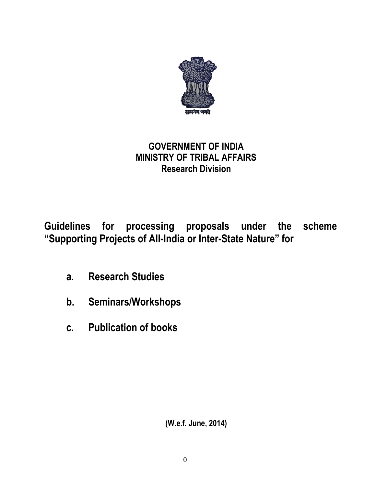

# **GOVERNMENT OF INDIA MINISTRY OF TRIBAL AFFAIRS Research Division**

**Guidelines for processing proposals under the scheme "Supporting Projects of All-India or Inter-State Nature" for**

- **a. Research Studies**
- **b. Seminars/Workshops**
- **c. Publication of books**

**(W.e.f. June, 2014)**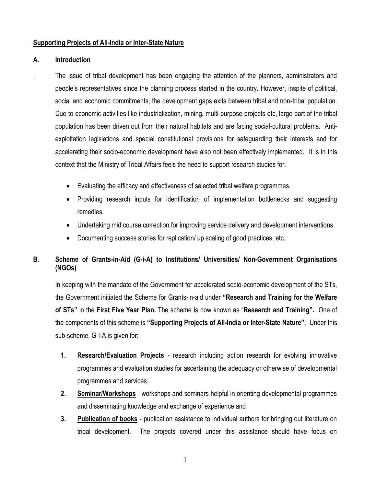### **Supporting Projects of All-India or Inter-State Nature**

### **A. Introduction**

. The issue of tribal development has been engaging the attention of the planners, administrators and people"s representatives since the planning process started in the country. However, inspite of political, social and economic commitments, the development gaps exits between tribal and non-tribal population. Due to economic activities like industrialization, mining, multi-purpose projects etc, large part of the tribal population has been driven out from their natural habitats and are facing social-cultural problems. Antiexploitation legislations and special constitutional provisions for safeguarding their interests and for accelerating their socio-economic development have also not been effectively implemented. It is in this context that the Ministry of Tribal Affairs feels the need to support research studies for.

- Evaluating the efficacy and effectiveness of selected tribal welfare programmes.
- Providing research inputs for identification of implementation bottlenecks and suggesting remedies.
- Undertaking mid course correction for improving service delivery and development interventions.
- Documenting success stories for replication/ up scaling of good practices, etc.

### **B. Scheme of Grants-in-Aid (G-i-A) to Institutions/ Universities/ Non-Government Organisations (NGOs)**

In keeping with the mandate of the Government for accelerated socio-economic development of the STs, the Government initiated the Scheme for Grants-in-aid under **"Research and Training for the Welfare of STs"** in the **First Five Year Plan.** The scheme is now known as "**Research and Training".** One of the components of this scheme is **"Supporting Projects of All-India or Inter-State Nature"**. Under this sub-scheme, G-I-A is given for:

- **1. Research/Evaluation Projects** research including action research for evolving innovative programmes and evaluation studies for ascertaining the adequacy or otherwise of developmental programmes and services;
- **2. Seminar/Workshops** workshops and seminars helpful in orienting developmental programmes and disseminating knowledge and exchange of experience and
- **3. Publication of books** publication assistance to individual authors for bringing out literature on tribal development. The projects covered under this assistance should have focus on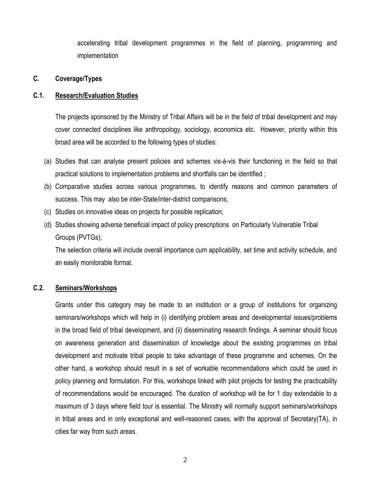accelerating tribal development programmes in the field of planning, programming and implementation

### **C. Coverage/Types**

### **C.1. Research/Evaluation Studies**

The projects sponsored by the Ministry of Tribal Affairs will be in the field of tribal development and may cover connected disciplines like anthropology, sociology, economics etc. However, priority within this broad area will be accorded to the following types of studies:

- (a) Studies that can analyse present policies and schemes vis-à-vis their functioning in the field so that practical solutions to implementation problems and shortfalls can be identified ;
- (b) Comparative studies across various programmes, to identify reasons and common parameters of success. This may also be inter-State/inter-district comparisons;
- (c) Studies on innovative ideas on projects for possible replication;
- (d) Studies showing adverse beneficial impact of policy prescriptions on Particularly Vulnerable Tribal Groups (PVTGs);

The selection criteria will include overall importance cum applicability, set time and activity schedule, and an easily monitorable format.

### **C.2. Seminars/Workshops**

Grants under this category may be made to an institution or a group of institutions for organizing seminars/workshops which will help in (i) identifying problem areas and developmental issues/problems in the broad field of tribal development, and (ii) disseminating research findings. A seminar should focus on awareness generation and dissemination of knowledge about the existing programmes on tribal development and motivate tribal people to take advantage of these programme and schemes. On the other hand, a workshop should result in a set of workable recommendations which could be used in policy planning and formulation. For this, workshops linked with pilot projects for testing the practicability of recommendations would be encouraged. The duration of workshop will be for 1 day extendable to a maximum of 3 days where field tour is essential. The Ministry will normally support seminars/workshops in tribal areas and in only exceptional and well-reasoned cases, with the approval of Secretary(TA), in cities far way from such areas.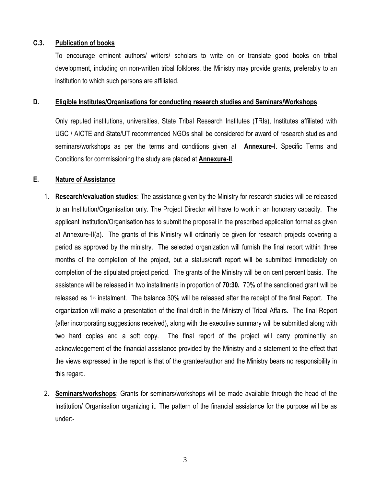### **C.3. Publication of books**

To encourage eminent authors/ writers/ scholars to write on or translate good books on tribal development, including on non-written tribal folklores, the Ministry may provide grants, preferably to an institution to which such persons are affiliated.

#### **D. Eligible Institutes/Organisations for conducting research studies and Seminars/Workshops**

Only reputed institutions, universities, State Tribal Research Institutes (TRIs), Institutes affiliated with UGC / AICTE and State/UT recommended NGOs shall be considered for award of research studies and seminars/workshops as per the terms and conditions given at **Annexure-I**. Specific Terms and Conditions for commissioning the study are placed at **Annexure-II**.

### **E. Nature of Assistance**

- 1. **Research/evaluation studies**: The assistance given by the Ministry for research studies will be released to an Institution/Organisation only. The Project Director will have to work in an honorary capacity. The applicant Institution/Organisation has to submit the proposal in the prescribed application format as given at Annexure-II(a). The grants of this Ministry will ordinarily be given for research projects covering a period as approved by the ministry. The selected organization will furnish the final report within three months of the completion of the project, but a status/draft report will be submitted immediately on completion of the stipulated project period. The grants of the Ministry will be on cent percent basis. The assistance will be released in two installments in proportion of **70:30.** 70% of the sanctioned grant will be released as 1st instalment. The balance 30% will be released after the receipt of the final Report.The organization will make a presentation of the final draft in the Ministry of Tribal Affairs. The final Report (after incorporating suggestions received), along with the executive summary will be submitted along with two hard copies and a soft copy. The final report of the project will carry prominently an acknowledgement of the financial assistance provided by the Ministry and a statement to the effect that the views expressed in the report is that of the grantee/author and the Ministry bears no responsibility in this regard.
- 2. **Seminars/workshops**: Grants for seminars/workshops will be made available through the head of the Institution/ Organisation organizing it. The pattern of the financial assistance for the purpose will be as under:-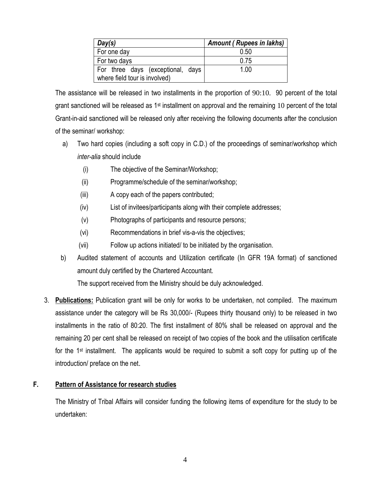| Day(s)                                                             | <b>Amount (Rupees in lakhs)</b> |
|--------------------------------------------------------------------|---------------------------------|
| For one day                                                        | 0.50                            |
| For two days                                                       | 0.75                            |
| For three days (exceptional, days<br>where field tour is involved) | 1.00                            |

The assistance will be released in two installments in the proportion of 90:10. 90 percent of the total grant sanctioned will be released as 1<sup>st</sup> installment on approval and the remaining 10 percent of the total Grant-in-aid sanctioned will be released only after receiving the following documents after the conclusion of the seminar/ workshop:

- a) Two hard copies (including a soft copy in C.D.) of the proceedings of seminar/workshop which *inter-alia* should include
	- (i) The objective of the Seminar/Workshop;
	- (ii) Programme/schedule of the seminar/workshop;
	- (iii) A copy each of the papers contributed;
	- (iv) List of invitees/participants along with their complete addresses;
	- (v) Photographs of participants and resource persons;
	- (vi) Recommendations in brief vis-a-vis the objectives;
	- (vii) Follow up actions initiated/ to be initiated by the organisation.
- b) Audited statement of accounts and Utilization certificate (In GFR 19A format) of sanctioned amount duly certified by the Chartered Accountant.

The support received from the Ministry should be duly acknowledged.

3. **Publications:** Publication grant will be only for works to be undertaken, not compiled. The maximum assistance under the category will be Rs 30,000/- (Rupees thirty thousand only) to be released in two installments in the ratio of 80:20. The first installment of 80% shall be released on approval and the remaining 20 per cent shall be released on receipt of two copies of the book and the utilisation certificate for the 1<sup>st</sup> installment. The applicants would be required to submit a soft copy for putting up of the introduction/ preface on the net.

### **F. Pattern of Assistance for research studies**

The Ministry of Tribal Affairs will consider funding the following items of expenditure for the study to be undertaken: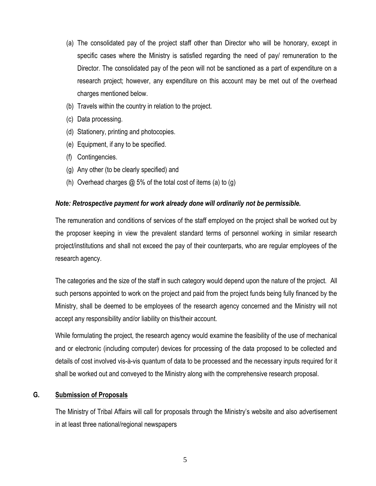- (a) The consolidated pay of the project staff other than Director who will be honorary, except in specific cases where the Ministry is satisfied regarding the need of pay/ remuneration to the Director. The consolidated pay of the peon will not be sanctioned as a part of expenditure on a research project; however, any expenditure on this account may be met out of the overhead charges mentioned below.
- (b) Travels within the country in relation to the project.
- (c) Data processing.
- (d) Stationery, printing and photocopies.
- (e) Equipment, if any to be specified.
- (f) Contingencies.
- (g) Any other (to be clearly specified) and
- (h) Overhead charges  $\omega$  5% of the total cost of items (a) to (g)

### *Note: Retrospective payment for work already done will ordinarily not be permissible.*

The remuneration and conditions of services of the staff employed on the project shall be worked out by the proposer keeping in view the prevalent standard terms of personnel working in similar research project/institutions and shall not exceed the pay of their counterparts, who are regular employees of the research agency.

The categories and the size of the staff in such category would depend upon the nature of the project. All such persons appointed to work on the project and paid from the project funds being fully financed by the Ministry, shall be deemed to be employees of the research agency concerned and the Ministry will not accept any responsibility and/or liability on this/their account.

While formulating the project, the research agency would examine the feasibility of the use of mechanical and or electronic (including computer) devices for processing of the data proposed to be collected and details of cost involved vis-à-vis quantum of data to be processed and the necessary inputs required for it shall be worked out and conveyed to the Ministry along with the comprehensive research proposal.

### **G. Submission of Proposals**

The Ministry of Tribal Affairs will call for proposals through the Ministry"s website and also advertisement in at least three national/regional newspapers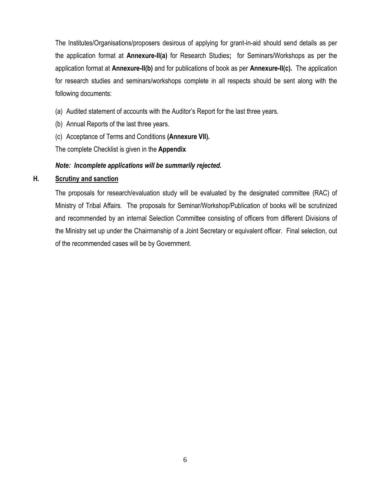The Institutes/Organisations/proposers desirous of applying for grant-in-aid should send details as per the application format at **Annexure-II(a)** for Research Studies**;** for Seminars/Workshops as per the application format at **Annexure-II(b)** and for publications of book as per **Annexure-II(c).** The application for research studies and seminars/workshops complete in all respects should be sent along with the following documents:

- (a) Audited statement of accounts with the Auditor"s Report for the last three years.
- (b) Annual Reports of the last three years.
- (c) Acceptance of Terms and Conditions **(Annexure VII).**

The complete Checklist is given in the **Appendix**

### *Note: Incomplete applications will be summarily rejected.*

### **H. Scrutiny and sanction**

The proposals for research/evaluation study will be evaluated by the designated committee (RAC) of Ministry of Tribal Affairs. The proposals for Seminar/Workshop/Publication of books will be scrutinized and recommended by an internal Selection Committee consisting of officers from different Divisions of the Ministry set up under the Chairmanship of a Joint Secretary or equivalent officer. Final selection, out of the recommended cases will be by Government.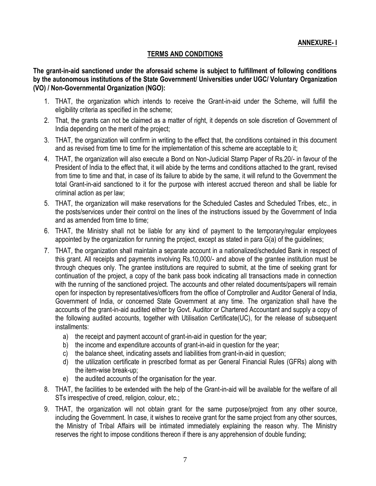**ANNEXURE- I**

### **TERMS AND CONDITIONS**

**The grant-in-aid sanctioned under the aforesaid scheme is subject to fulfillment of following conditions by the autonomous institutions of the State Government/ Universities under UGC/ Voluntary Organization (VO) / Non-Governmental Organization (NGO):**

- 1. THAT, the organization which intends to receive the Grant-in-aid under the Scheme, will fulfill the eligibility criteria as specified in the scheme;
- 2. That, the grants can not be claimed as a matter of right, it depends on sole discretion of Government of India depending on the merit of the project;
- 3. THAT, the organization will confirm in writing to the effect that, the conditions contained in this document and as revised from time to time for the implementation of this scheme are acceptable to it;
- 4. THAT, the organization will also execute a Bond on Non-Judicial Stamp Paper of Rs.20/- in favour of the President of India to the effect that, it will abide by the terms and conditions attached to the grant, revised from time to time and that, in case of its failure to abide by the same, it will refund to the Government the total Grant-in-aid sanctioned to it for the purpose with interest accrued thereon and shall be liable for criminal action as per law;
- 5. THAT, the organization will make reservations for the Scheduled Castes and Scheduled Tribes, etc., in the posts/services under their control on the lines of the instructions issued by the Government of India and as amended from time to time;
- 6. THAT, the Ministry shall not be liable for any kind of payment to the temporary/regular employees appointed by the organization for running the project, except as stated in para G(a) of the guidelines;
- 7. THAT, the organization shall maintain a separate account in a nationalized/scheduled Bank in respect of this grant. All receipts and payments involving Rs.10,000/- and above of the grantee institution must be through cheques only. The grantee institutions are required to submit, at the time of seeking grant for continuation of the project, a copy of the bank pass book indicating all transactions made in connection with the running of the sanctioned project. The accounts and other related documents/papers will remain open for inspection by representatives/officers from the office of Comptroller and Auditor General of India, Government of India, or concerned State Government at any time. The organization shall have the accounts of the grant-in-aid audited either by Govt. Auditor or Chartered Accountant and supply a copy of the following audited accounts, together with Utilisation Certificate(UC), for the release of subsequent installments:
	- a) the receipt and payment account of grant-in-aid in question for the year;
	- b) the income and expenditure accounts of grant-in-aid in question for the year;
	- c) the balance sheet, indicating assets and liabilities from grant-in-aid in question;
	- d) the utilization certificate in prescribed format as per General Financial Rules (GFRs) along with the item-wise break-up;
	- e) the audited accounts of the organisation for the year.
- 8. THAT, the facilities to be extended with the help of the Grant-in-aid will be available for the welfare of all STs irrespective of creed, religion, colour, etc.;
- 9. THAT, the organization will not obtain grant for the same purpose/project from any other source, including the Government. In case, it wishes to receive grant for the same project from any other sources, the Ministry of Tribal Affairs will be intimated immediately explaining the reason why. The Ministry reserves the right to impose conditions thereon if there is any apprehension of double funding;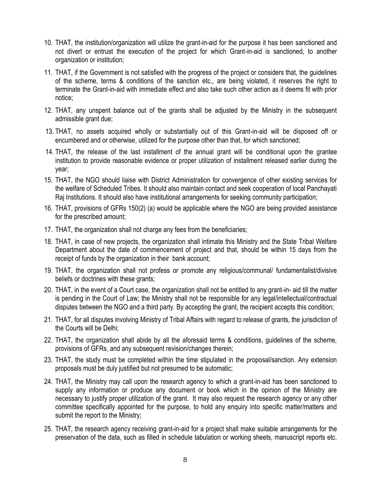- 10. THAT, the institution/organization will utilize the grant-in-aid for the purpose it has been sanctioned and not divert or entrust the execution of the project for which Grant-in-aid is sanctioned, to another organization or institution;
- 11. THAT, if the Government is not satisfied with the progress of the project or considers that, the guidelines of the scheme, terms & conditions of the sanction etc., are being violated, it reserves the right to terminate the Grant-in-aid with immediate effect and also take such other action as it deems fit with prior notice;
- 12. THAT, any unspent balance out of the grants shall be adjusted by the Ministry in the subsequent admissible grant due;
- 13. THAT, no assets acquired wholly or substantially out of this Grant-in-aid will be disposed off or encumbered and or otherwise, utilized for the purpose other than that, for which sanctioned;
- 14. THAT, the release of the last installment of the annual grant will be conditional upon the grantee institution to provide reasonable evidence or proper utilization of installment released earlier during the year;
- 15. THAT, the NGO should liaise with District Administration for convergence of other existing services for the welfare of Scheduled Tribes. It should also maintain contact and seek cooperation of local Panchayati Raj Institutions. It should also have institutional arrangements for seeking community participation;
- 16. THAT, provisions of GFRs 150(2) (a) would be applicable where the NGO are being provided assistance for the prescribed amount;
- 17. THAT, the organization shall not charge any fees from the beneficiaries;
- 18. THAT, in case of new projects, the organization shall intimate this Ministry and the State Tribal Welfare Department about the date of commencement of project and that, should be within 15 days from the receipt of funds by the organization in their bank account;
- 19. THAT, the organization shall not profess or promote any religious/communal/ fundamentalist/divisive beliefs or doctrines with these grants;
- 20. THAT, in the event of a Court case, the organization shall not be entitled to any grant-in- aid till the matter is pending in the Court of Law; the Ministry shall not be responsible for any legal/intellectual/contractual disputes between the NGO and a third party. By accepting the grant, the recipient accepts this condition;
- 21. THAT, for all disputes involving Ministry of Tribal Affairs with regard to release of grants, the jurisdiction of the Courts will be Delhi;
- 22. THAT, the organization shall abide by all the aforesaid terms & conditions, guidelines of the scheme, provisions of GFRs, and any subsequent revision/changes therein;
- 23. THAT, the study must be completed within the time stipulated in the proposal/sanction. Any extension proposals must be duly justified but not presumed to be automatic;
- 24. THAT, the Ministry may call upon the research agency to which a grant-in-aid has been sanctioned to supply any information or produce any document or book which in the opinion of the Ministry are necessary to justify proper utilization of the grant. It may also request the research agency or any other committee specifically appointed for the purpose, to hold any enquiry into specific matter/matters and submit the report to the Ministry;
- 25. THAT, the research agency receiving grant-in-aid for a project shall make suitable arrangements for the preservation of the data, such as filled in schedule tabulation or working sheets, manuscript reports etc.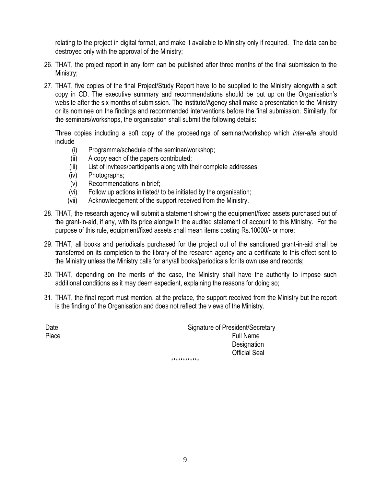relating to the project in digital format, and make it available to Ministry only if required. The data can be destroyed only with the approval of the Ministry;

- 26. THAT, the project report in any form can be published after three months of the final submission to the Ministry;
- 27. THAT, five copies of the final Project/Study Report have to be supplied to the Ministry alongwith a soft copy in CD. The executive summary and recommendations should be put up on the Organisation"s website after the six months of submission. The Institute/Agency shall make a presentation to the Ministry or its nominee on the findings and recommended interventions before the final submission. Similarly, for the seminars/workshops, the organisation shall submit the following details:

Three copies including a soft copy of the proceedings of seminar/workshop which *inter-alia* should include

- (i) Programme/schedule of the seminar/workshop;
- (ii) A copy each of the papers contributed;
- (iii) List of invitees/participants along with their complete addresses;
- (iv) Photographs;
- (v) Recommendations in brief;
- (vi) Follow up actions initiated/ to be initiated by the organisation;
- (vii) Acknowledgement of the support received from the Ministry.
- 28. THAT, the research agency will submit a statement showing the equipment/fixed assets purchased out of the grant-in-aid, if any, with its price alongwith the audited statement of account to this Ministry. For the purpose of this rule, equipment/fixed assets shall mean items costing Rs.10000/- or more;
- 29. THAT, all books and periodicals purchased for the project out of the sanctioned grant-in-aid shall be transferred on its completion to the library of the research agency and a certificate to this effect sent to the Ministry unless the Ministry calls for any/all books/periodicals for its own use and records;
- 30. THAT, depending on the merits of the case, the Ministry shall have the authority to impose such additional conditions as it may deem expedient, explaining the reasons for doing so;
- 31. THAT, the final report must mention, at the preface, the support received from the Ministry but the report is the finding of the Organisation and does not reflect the views of the Ministry.

Date **Signature of President/Secretary** Place Full Name **Designation** Official Seal \*\*\*\*\*\*\*\*\*\*\*\*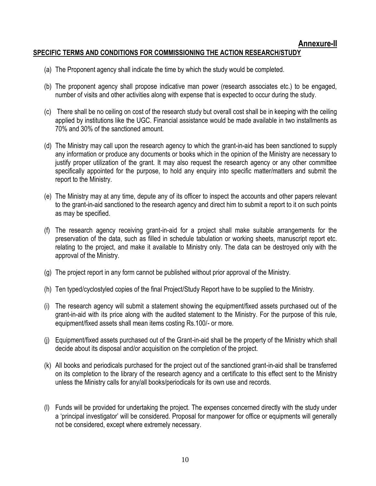### **SPECIFIC TERMS AND CONDITIONS FOR COMMISSIONING THE ACTION RESEARCH/STUDY**

- (a) The Proponent agency shall indicate the time by which the study would be completed.
- (b) The proponent agency shall propose indicative man power (research associates etc.) to be engaged, number of visits and other activities along with expense that is expected to occur during the study.
- (c) There shall be no ceiling on cost of the research study but overall cost shall be in keeping with the ceiling applied by institutions like the UGC. Financial assistance would be made available in two installments as 70% and 30% of the sanctioned amount.
- (d) The Ministry may call upon the research agency to which the grant-in-aid has been sanctioned to supply any information or produce any documents or books which in the opinion of the Ministry are necessary to justify proper utilization of the grant. It may also request the research agency or any other committee specifically appointed for the purpose, to hold any enquiry into specific matter/matters and submit the report to the Ministry.
- (e) The Ministry may at any time, depute any of its officer to inspect the accounts and other papers relevant to the grant-in-aid sanctioned to the research agency and direct him to submit a report to it on such points as may be specified.
- (f) The research agency receiving grant-in-aid for a project shall make suitable arrangements for the preservation of the data, such as filled in schedule tabulation or working sheets, manuscript report etc. relating to the project, and make it available to Ministry only. The data can be destroyed only with the approval of the Ministry.
- (g) The project report in any form cannot be published without prior approval of the Ministry.
- (h) Ten typed/cyclostyled copies of the final Project/Study Report have to be supplied to the Ministry.
- (i) The research agency will submit a statement showing the equipment/fixed assets purchased out of the grant-in-aid with its price along with the audited statement to the Ministry. For the purpose of this rule, equipment/fixed assets shall mean items costing Rs.100/- or more.
- (j) Equipment/fixed assets purchased out of the Grant-in-aid shall be the property of the Ministry which shall decide about its disposal and/or acquisition on the completion of the project.
- (k) All books and periodicals purchased for the project out of the sanctioned grant-in-aid shall be transferred on its completion to the library of the research agency and a certificate to this effect sent to the Ministry unless the Ministry calls for any/all books/periodicals for its own use and records.
- (l) Funds will be provided for undertaking the project. The expenses concerned directly with the study under a 'principal investigator' will be considered. Proposal for manpower for office or equipments will generally not be considered, except where extremely necessary.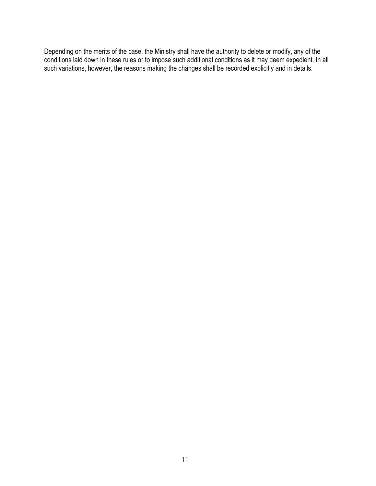Depending on the merits of the case, the Ministry shall have the authority to delete or modify, any of the conditions laid down in these rules or to impose such additional conditions as it may deem expedient. In all such variations, however, the reasons making the changes shall be recorded explicitly and in details.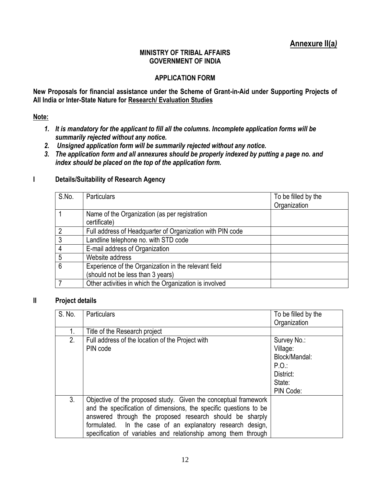## **Annexure II(a***)*

### **MINISTRY OF TRIBAL AFFAIRS GOVERNMENT OF INDIA**

### **APPLICATION FORM**

**New Proposals for financial assistance under the Scheme of Grant-in-Aid under Supporting Projects of All India or Inter-State Nature for Research/ Evaluation Studies**

### **Note:**

- *1. It is mandatory for the applicant to fill all the columns. Incomplete application forms will be summarily rejected without any notice.*
- *2. Unsigned application form will be summarily rejected without any notice.*
- *3. The application form and all annexures should be properly indexed by putting a page no. and index should be placed on the top of the application form.*

# **I Details/Suitability of Research Agency**

| S.No.           | <b>Particulars</b>                                        | To be filled by the |
|-----------------|-----------------------------------------------------------|---------------------|
|                 |                                                           | Organization        |
|                 | Name of the Organization (as per registration             |                     |
|                 | certificate)                                              |                     |
| $\overline{2}$  | Full address of Headquarter of Organization with PIN code |                     |
| $\mathbf{3}$    | Landline telephone no. with STD code                      |                     |
| $\overline{4}$  | E-mail address of Organization                            |                     |
| -5              | Website address                                           |                     |
| $6\phantom{1}6$ | Experience of the Organization in the relevant field      |                     |
|                 | (should not be less than 3 years)                         |                     |
|                 | Other activities in which the Organization is involved    |                     |

#### **II Project details**

| S. No. | Particulars                                                       | To be filled by the |
|--------|-------------------------------------------------------------------|---------------------|
|        |                                                                   | Organization        |
| 1.     | Title of the Research project                                     |                     |
| 2.     | Full address of the location of the Project with                  | Survey No.:         |
|        | PIN code                                                          | Village:            |
|        |                                                                   | Block/Mandal:       |
|        |                                                                   | $P.O$ :             |
|        |                                                                   | District:           |
|        |                                                                   | State:              |
|        |                                                                   | PIN Code:           |
| 3.     | Objective of the proposed study. Given the conceptual framework   |                     |
|        | and the specification of dimensions, the specific questions to be |                     |
|        | answered through the proposed research should be sharply          |                     |
|        | formulated. In the case of an explanatory research design,        |                     |
|        | specification of variables and relationship among them through    |                     |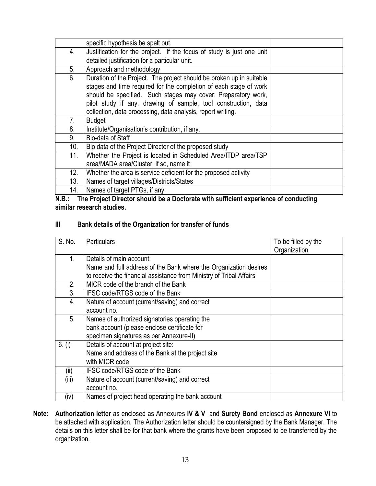|     | specific hypothesis be spelt out.                                     |  |
|-----|-----------------------------------------------------------------------|--|
| 4.  | Justification for the project. If the focus of study is just one unit |  |
|     | detailed justification for a particular unit.                         |  |
| 5.  | Approach and methodology                                              |  |
| 6.  | Duration of the Project. The project should be broken up in suitable  |  |
|     | stages and time required for the completion of each stage of work     |  |
|     | should be specified. Such stages may cover: Preparatory work,         |  |
|     | pilot study if any, drawing of sample, tool construction, data        |  |
|     | collection, data processing, data analysis, report writing.           |  |
| 7.  | <b>Budget</b>                                                         |  |
| 8.  | Institute/Organisation's contribution, if any.                        |  |
| 9.  | Bio-data of Staff                                                     |  |
| 10. | Bio data of the Project Director of the proposed study                |  |
| 11. | Whether the Project is located in Scheduled Area/ITDP area/TSP        |  |
|     | area/MADA area/Cluster, if so, name it                                |  |
| 12. | Whether the area is service deficient for the proposed activity       |  |
| 13. | Names of target villages/Districts/States                             |  |
| 14. | Names of target PTGs, if any                                          |  |

**N.B.: The Project Director should be a Doctorate with sufficient experience of conducting similar research studies.**

### **III Bank details of the Organization for transfer of funds**

| S. No. | <b>Particulars</b>                                                  | To be filled by the |
|--------|---------------------------------------------------------------------|---------------------|
|        |                                                                     | Organization        |
| 1.     | Details of main account:                                            |                     |
|        | Name and full address of the Bank where the Organization desires    |                     |
|        | to receive the financial assistance from Ministry of Tribal Affairs |                     |
| 2.     | MICR code of the branch of the Bank                                 |                     |
| 3.     | IFSC code/RTGS code of the Bank                                     |                     |
| 4.     | Nature of account (current/saving) and correct                      |                     |
|        | account no.                                                         |                     |
| 5.     | Names of authorized signatories operating the                       |                     |
|        | bank account (please enclose certificate for                        |                     |
|        | specimen signatures as per Annexure-II)                             |                     |
| 6. (i) | Details of account at project site:                                 |                     |
|        | Name and address of the Bank at the project site                    |                     |
|        | with MICR code                                                      |                     |
| (ii)   | IFSC code/RTGS code of the Bank                                     |                     |
| (iii)  | Nature of account (current/saving) and correct                      |                     |
|        | account no.                                                         |                     |
| (iv)   | Names of project head operating the bank account                    |                     |

**Note: Authorization letter** as enclosed as Annexures **IV & V** and **Surety Bond** enclosed as **Annexure VI** to be attached with application. The Authorization letter should be countersigned by the Bank Manager. The details on this letter shall be for that bank where the grants have been proposed to be transferred by the organization.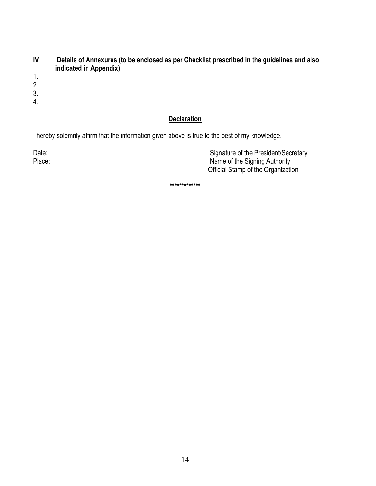- **IV Details of Annexures (to be enclosed as per Checklist prescribed in the guidelines and also indicated in Appendix)**
- 1.
- 2.
- 3.
- 4.

### **Declaration**

I hereby solemnly affirm that the information given above is true to the best of my knowledge.

Date: Case of the President/Secretary Case of the President/Secretary Place: Name of the Signing Authority Official Stamp of the Organization

\*\*\*\*\*\*\*\*\*\*\*\*\*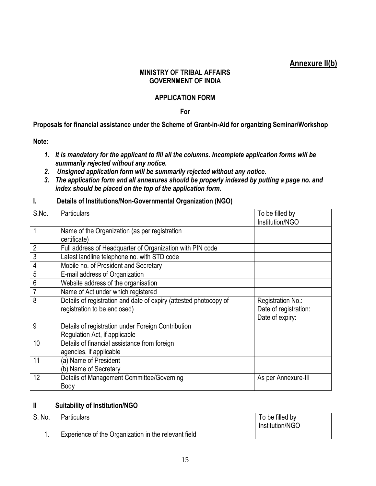## **Annexure II(b)**

### **MINISTRY OF TRIBAL AFFAIRS GOVERNMENT OF INDIA**

### **APPLICATION FORM**

**For**

### **Proposals for financial assistance under the Scheme of Grant-in-Aid for organizing Seminar/Workshop**

**Note:** 

- *1. It is mandatory for the applicant to fill all the columns. Incomplete application forms will be summarily rejected without any notice.*
- *2. Unsigned application form will be summarily rejected without any notice.*
- *3. The application form and all annexures should be properly indexed by putting a page no. and index should be placed on the top of the application form.*

|  |  | Details of Institutions/Non-Governmental Organization (NGO) |  |  |
|--|--|-------------------------------------------------------------|--|--|
|--|--|-------------------------------------------------------------|--|--|

| S.No. | Particulars                                                                                       | To be filled by<br>Institution/NGO                            |
|-------|---------------------------------------------------------------------------------------------------|---------------------------------------------------------------|
|       | Name of the Organization (as per registration<br>certificate)                                     |                                                               |
| 2     | Full address of Headquarter of Organization with PIN code                                         |                                                               |
| 3     | Latest landline telephone no. with STD code                                                       |                                                               |
| 4     | Mobile no. of President and Secretary                                                             |                                                               |
| 5     | E-mail address of Organization                                                                    |                                                               |
| 6     | Website address of the organisation                                                               |                                                               |
|       | Name of Act under which registered                                                                |                                                               |
| 8     | Details of registration and date of expiry (attested photocopy of<br>registration to be enclosed) | Registration No.:<br>Date of registration:<br>Date of expiry: |
| 9     | Details of registration under Foreign Contribution<br>Regulation Act, if applicable               |                                                               |
| 10    | Details of financial assistance from foreign<br>agencies, if applicable                           |                                                               |
| 11    | (a) Name of President<br>(b) Name of Secretary                                                    |                                                               |
| 12    | Details of Management Committee/Governing<br>Body                                                 | As per Annexure-III                                           |

### **II Suitability of Institution/NGO**

| $^{\circ}$ No.<br>$\mathbf{C}$ | <b>Particulars</b>                                   | To be filled by<br>Institution/NGO |
|--------------------------------|------------------------------------------------------|------------------------------------|
| . .                            | Experience of the Organization in the relevant field |                                    |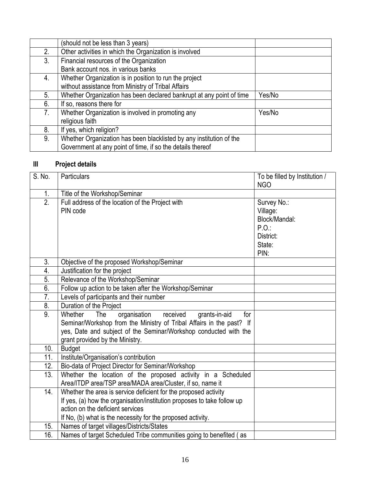|    | (should not be less than 3 years)                                    |        |
|----|----------------------------------------------------------------------|--------|
| 2. | Other activities in which the Organization is involved               |        |
| 3. | Financial resources of the Organization                              |        |
|    | Bank account nos. in various banks                                   |        |
| 4. | Whether Organization is in position to run the project               |        |
|    | without assistance from Ministry of Tribal Affairs                   |        |
| 5. | Whether Organization has been declared bankrupt at any point of time | Yes/No |
| 6. | If so, reasons there for                                             |        |
| 7. | Whether Organization is involved in promoting any                    | Yes/No |
|    | religious faith                                                      |        |
| 8. | If yes, which religion?                                              |        |
| 9. | Whether Organization has been blacklisted by any institution of the  |        |
|    | Government at any point of time, if so the details thereof           |        |

# **III Project details**

| S. No.           | Particulars                                                                                                                                                                                                                                    | To be filled by Institution /<br><b>NGO</b>                                     |
|------------------|------------------------------------------------------------------------------------------------------------------------------------------------------------------------------------------------------------------------------------------------|---------------------------------------------------------------------------------|
| 1.               | Title of the Workshop/Seminar                                                                                                                                                                                                                  |                                                                                 |
| $\overline{2}$ . | Full address of the location of the Project with<br>PIN code                                                                                                                                                                                   | Survey No.:<br>Village:<br>Block/Mandal:<br>P.O.<br>District:<br>State:<br>PIN: |
| 3.               | Objective of the proposed Workshop/Seminar                                                                                                                                                                                                     |                                                                                 |
| 4.               | Justification for the project                                                                                                                                                                                                                  |                                                                                 |
| $\overline{5}$ . | Relevance of the Workshop/Seminar                                                                                                                                                                                                              |                                                                                 |
| 6.               | Follow up action to be taken after the Workshop/Seminar                                                                                                                                                                                        |                                                                                 |
| $\overline{7}$ . | Levels of participants and their number                                                                                                                                                                                                        |                                                                                 |
| 8.               | Duration of the Project                                                                                                                                                                                                                        |                                                                                 |
| 9.               | Whether<br>organisation received<br>The<br>grants-in-aid<br>for<br>Seminar/Workshop from the Ministry of Tribal Affairs in the past? If<br>yes, Date and subject of the Seminar/Workshop conducted with the<br>grant provided by the Ministry. |                                                                                 |
| 10.              | <b>Budget</b>                                                                                                                                                                                                                                  |                                                                                 |
| 11.              | Institute/Organisation's contribution                                                                                                                                                                                                          |                                                                                 |
| 12.              | Bio-data of Project Director for Seminar/Workshop                                                                                                                                                                                              |                                                                                 |
| 13.              | Whether the location of the proposed activity in a Scheduled<br>Area/ITDP area/TSP area/MADA area/Cluster, if so, name it                                                                                                                      |                                                                                 |
| 14.              | Whether the area is service deficient for the proposed activity<br>If yes, (a) how the organisation/institution proposes to take follow up<br>action on the deficient services<br>If No, (b) what is the necessity for the proposed activity.  |                                                                                 |
| 15.              | Names of target villages/Districts/States                                                                                                                                                                                                      |                                                                                 |
| 16.              | Names of target Scheduled Tribe communities going to benefited (as                                                                                                                                                                             |                                                                                 |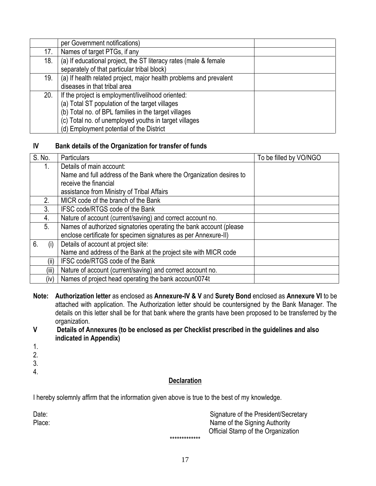|     | per Government notifications)                                      |  |
|-----|--------------------------------------------------------------------|--|
| 17. | Names of target PTGs, if any                                       |  |
| 18. | (a) If educational project, the ST literacy rates (male & female   |  |
|     | separately of that particular tribal block)                        |  |
| 19. | (a) If health related project, major health problems and prevalent |  |
|     | diseases in that tribal area                                       |  |
| 20. | If the project is employment/livelihood oriented:                  |  |
|     | (a) Total ST population of the target villages                     |  |
|     | (b) Total no. of BPL families in the target villages               |  |
|     | (c) Total no. of unemployed youths in target villages              |  |
|     | (d) Employment potential of the District                           |  |

### **IV Bank details of the Organization for transfer of funds**

| S. No.    | <b>Particulars</b>                                                  | To be filled by VO/NGO |
|-----------|---------------------------------------------------------------------|------------------------|
| 1.        | Details of main account:                                            |                        |
|           | Name and full address of the Bank where the Organization desires to |                        |
|           | receive the financial                                               |                        |
|           | assistance from Ministry of Tribal Affairs                          |                        |
| 2.        | MICR code of the branch of the Bank                                 |                        |
| 3.        | IFSC code/RTGS code of the Bank                                     |                        |
| 4.        | Nature of account (current/saving) and correct account no.          |                        |
| 5.        | Names of authorized signatories operating the bank account (please  |                        |
|           | enclose certificate for specimen signatures as per Annexure-II)     |                        |
| 6.<br>(i) | Details of account at project site:                                 |                        |
|           | Name and address of the Bank at the project site with MICR code     |                        |
| (II)      | IFSC code/RTGS code of the Bank                                     |                        |
| (iii)     | Nature of account (current/saving) and correct account no.          |                        |
| (iv)      | Names of project head operating the bank accoun0074t                |                        |

- **Note: Authorization letter** as enclosed as **Annexure-IV & V** and **Surety Bond** enclosed as **Annexure VI** to be attached with application. The Authorization letter should be countersigned by the Bank Manager. The details on this letter shall be for that bank where the grants have been proposed to be transferred by the organization.
- **V Details of Annexures (to be enclosed as per Checklist prescribed in the guidelines and also indicated in Appendix)**
- 1.
- 2.
- 3.
- 4.

### **Declaration**

I hereby solemnly affirm that the information given above is true to the best of my knowledge.

| Date:  | Signature of the President/Secretary |
|--------|--------------------------------------|
| Place: | Name of the Signing Authority        |
|        | Official Stamp of the Organization   |
|        | *************                        |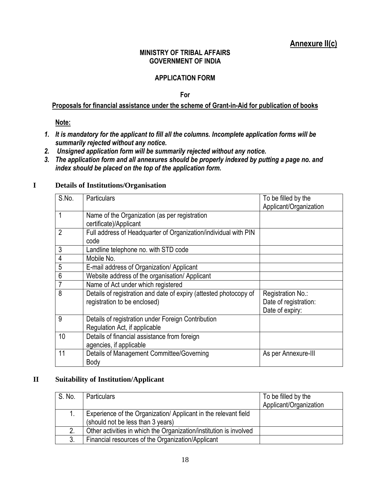## **Annexure II(c)**

### **MINISTRY OF TRIBAL AFFAIRS GOVERNMENT OF INDIA**

### **APPLICATION FORM**

**For**

### **Proposals for financial assistance under the scheme of Grant-in-Aid for publication of books**

### **Note:**

- *1. It is mandatory for the applicant to fill all the columns. Incomplete application forms will be summarily rejected without any notice.*
- *2. Unsigned application form will be summarily rejected without any notice.*
- *3. The application form and all annexures should be properly indexed by putting a page no. and index should be placed on the top of the application form.*

#### **I Details of Institutions/Organisation**

| S.No.          | <b>Particulars</b>                                                | To be filled by the    |
|----------------|-------------------------------------------------------------------|------------------------|
|                |                                                                   | Applicant/Organization |
| 1              | Name of the Organization (as per registration                     |                        |
|                | certificate)/Applicant                                            |                        |
| $\overline{2}$ | Full address of Headquarter of Organization/individual with PIN   |                        |
|                | code                                                              |                        |
| 3              | Landline telephone no. with STD code                              |                        |
| $\overline{4}$ | Mobile No.                                                        |                        |
| 5              | E-mail address of Organization/ Applicant                         |                        |
| $\overline{6}$ | Website address of the organisation/ Applicant                    |                        |
| $\overline{7}$ | Name of Act under which registered                                |                        |
| 8              | Details of registration and date of expiry (attested photocopy of | Registration No.:      |
|                | registration to be enclosed)                                      | Date of registration:  |
|                |                                                                   | Date of expiry:        |
| 9              | Details of registration under Foreign Contribution                |                        |
|                | Regulation Act, if applicable                                     |                        |
| 10             | Details of financial assistance from foreign                      |                        |
|                | agencies, if applicable                                           |                        |
| 11             | Details of Management Committee/Governing                         | As per Annexure-III    |
|                | Body                                                              |                        |

#### **II Suitability of Institution/Applicant**

| S. No. | <b>Particulars</b>                                                                                  | To be filled by the<br>Applicant/Organization |
|--------|-----------------------------------------------------------------------------------------------------|-----------------------------------------------|
|        | Experience of the Organization/Applicant in the relevant field<br>(should not be less than 3 years) |                                               |
| 2.     | Other activities in which the Organization/institution is involved                                  |                                               |
| 3.     | Financial resources of the Organization/Applicant                                                   |                                               |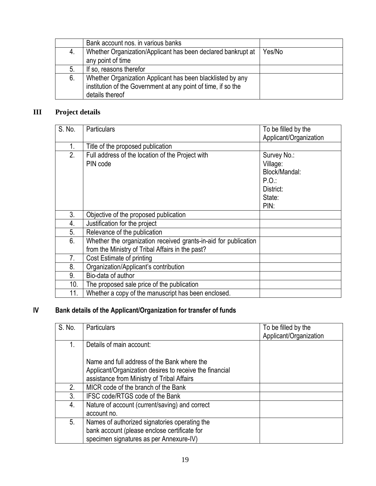|    | Bank account nos. in various banks                            |        |
|----|---------------------------------------------------------------|--------|
| 4. | Whether Organization/Applicant has been declared bankrupt at  | Yes/No |
|    | any point of time                                             |        |
| 5. | If so, reasons therefor                                       |        |
| 6. | Whether Organization Applicant has been blacklisted by any    |        |
|    | institution of the Government at any point of time, if so the |        |
|    | details thereof                                               |        |

## **III Project details**

| S. No. | <b>Particulars</b>                                                                                                  | To be filled by the<br>Applicant/Organization                                   |
|--------|---------------------------------------------------------------------------------------------------------------------|---------------------------------------------------------------------------------|
| 1.     | Title of the proposed publication                                                                                   |                                                                                 |
| 2.     | Full address of the location of the Project with<br>PIN code                                                        | Survey No.:<br>Village:<br>Block/Mandal:<br>P.O.<br>District:<br>State:<br>PIN: |
| 3.     | Objective of the proposed publication                                                                               |                                                                                 |
| 4.     | Justification for the project                                                                                       |                                                                                 |
| 5.     | Relevance of the publication                                                                                        |                                                                                 |
| 6.     | Whether the organization received grants-in-aid for publication<br>from the Ministry of Tribal Affairs in the past? |                                                                                 |
| 7.     | Cost Estimate of printing                                                                                           |                                                                                 |
| 8.     | Organization/Applicant's contribution                                                                               |                                                                                 |
| 9.     | Bio-data of author                                                                                                  |                                                                                 |
| 10.    | The proposed sale price of the publication                                                                          |                                                                                 |
| 11.    | Whether a copy of the manuscript has been enclosed.                                                                 |                                                                                 |

## **IV Bank details of the Applicant/Organization for transfer of funds**

| S. No. | Particulars                                             | To be filled by the<br>Applicant/Organization |
|--------|---------------------------------------------------------|-----------------------------------------------|
| 1.     | Details of main account:                                |                                               |
|        | Name and full address of the Bank where the             |                                               |
|        | Applicant/Organization desires to receive the financial |                                               |
|        | assistance from Ministry of Tribal Affairs              |                                               |
| 2.     | MICR code of the branch of the Bank                     |                                               |
| 3.     | IFSC code/RTGS code of the Bank                         |                                               |
| 4.     | Nature of account (current/saving) and correct          |                                               |
|        | account no.                                             |                                               |
| 5.     | Names of authorized signatories operating the           |                                               |
|        | bank account (please enclose certificate for            |                                               |
|        | specimen signatures as per Annexure-IV)                 |                                               |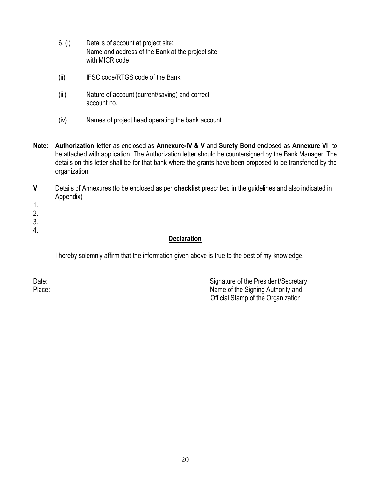| 6. (i) | Details of account at project site:<br>Name and address of the Bank at the project site<br>with MICR code |  |
|--------|-----------------------------------------------------------------------------------------------------------|--|
| (i)    | IFSC code/RTGS code of the Bank                                                                           |  |
| (iii)  | Nature of account (current/saving) and correct<br>account no.                                             |  |
| (iv)   | Names of project head operating the bank account                                                          |  |

- **Note: Authorization letter** as enclosed as **Annexure-IV & V** and **Surety Bond** enclosed as **Annexure VI** to be attached with application. The Authorization letter should be countersigned by the Bank Manager. The details on this letter shall be for that bank where the grants have been proposed to be transferred by the organization.
- **V** Details of Annexures (to be enclosed as per **checklist** prescribed in the guidelines and also indicated in Appendix)
- 1.
- 2.
- 3.
- 4.

### **Declaration**

I hereby solemnly affirm that the information given above is true to the best of my knowledge.

Date: Date: Signature of the President/Secretary Place: Name of the Signing Authority and Official Stamp of the Organization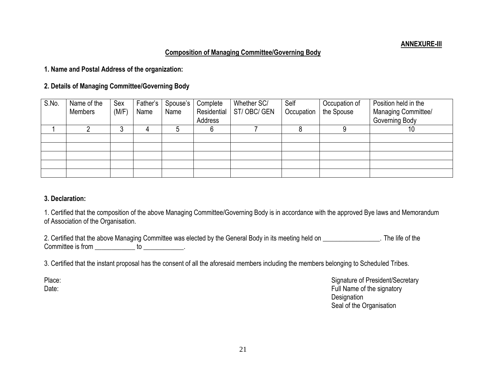### **Composition of Managing Committee/Governing Body**

**1. Name and Postal Address of the organization:**

**2. Details of Managing Committee/Governing Body**

| S.No. | Name of the    | Sex    | Father's | Spouse's | Complete    | Whether SC/ | Self       | Occupation of | Position held in the |
|-------|----------------|--------|----------|----------|-------------|-------------|------------|---------------|----------------------|
|       | <b>Members</b> | (M/F)  | Name     | Name     | Residential | ST/OBC/GEN  | Occupation | the Spouse    | Managing Committee/  |
|       |                |        |          |          | Address     |             |            |               | Governing Body       |
|       |                | າ<br>J |          |          |             |             |            |               | ιv                   |
|       |                |        |          |          |             |             |            |               |                      |
|       |                |        |          |          |             |             |            |               |                      |
|       |                |        |          |          |             |             |            |               |                      |
|       |                |        |          |          |             |             |            |               |                      |
|       |                |        |          |          |             |             |            |               |                      |

### **3. Declaration:**

1. Certified that the composition of the above Managing Committee/Governing Body is in accordance with the approved Bye laws and Memorandum of Association of the Organisation.

2. Certified that the above Managing Committee was elected by the General Body in its meeting held on \_\_\_\_\_\_\_\_\_\_\_\_\_\_\_\_\_. The life of the Committee is from \_\_\_\_\_\_\_\_\_\_\_\_\_\_ to \_\_\_\_\_\_\_\_\_\_.

3. Certified that the instant proposal has the consent of all the aforesaid members including the members belonging to Scheduled Tribes.

Place: Signature of President/Secretary Date: Full Name of the signatory **Designation** Seal of the Organisation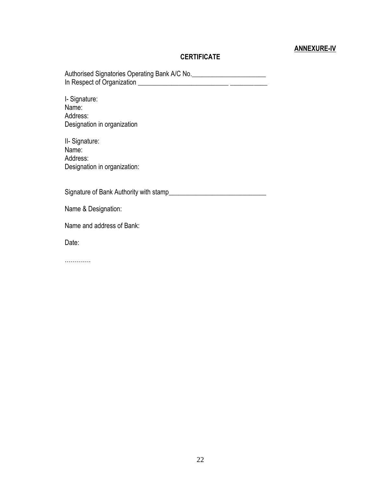### **ANNEXURE-IV**

### **CERTIFICATE**

Authorised Signatories Operating Bank A/C No. In Respect of Organization \_\_\_\_\_\_\_\_\_\_\_\_\_\_\_\_\_\_\_\_\_\_\_\_\_\_\_ \_\_\_\_\_\_\_\_\_\_\_

I- Signature: Name: Address: Designation in organization

II- Signature: Name: Address: Designation in organization:

Signature of Bank Authority with stamp\_\_\_\_\_\_\_\_\_\_\_\_\_\_\_\_\_\_\_\_\_\_\_\_\_\_\_\_\_

Name & Designation:

Name and address of Bank:

Date:

………….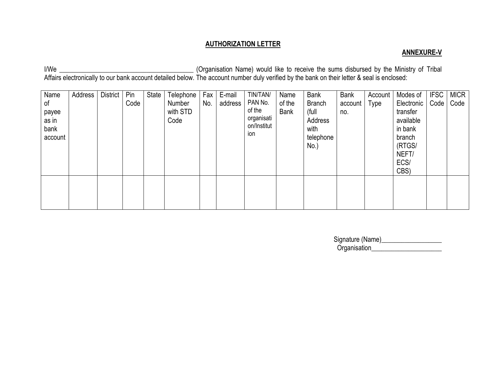### **AUTHORIZATION LETTER**

### **ANNEXURE-V**

I/We \_\_\_\_\_\_\_\_\_\_\_\_\_\_\_\_\_\_\_\_\_\_\_\_\_\_\_\_\_\_\_\_\_\_\_\_\_\_\_\_ (Organisation Name) would like to receive the sums disbursed by the Ministry of Tribal Affairs electronically to our bank account detailed below. The account number duly verified by the bank on their letter & seal is enclosed:

| Name<br>of<br>payee<br>as in<br>bank<br>account | Address | <b>District</b> | Pin<br>Code | State | Telephone<br>Number<br>with STD<br>Code | Fax<br>No. | E-mail<br>address | TIN/TAN/<br>PAN No.<br>of the<br>organisati<br>on/Institut<br>ion | Name<br>of the<br><b>Bank</b> | <b>Bank</b><br><b>Branch</b><br>(full<br>Address<br>with<br>telephone<br>No.) | <b>Bank</b><br>account<br>no. | Account<br>Type | Modes of<br>Electronic<br>transfer<br>available<br>in bank<br>branch<br>(RTGS/<br>NEFT/<br>ECS/<br>CBS) | <b>IFSC</b><br>Code <sub>2</sub> | <b>MICR</b><br>Code |
|-------------------------------------------------|---------|-----------------|-------------|-------|-----------------------------------------|------------|-------------------|-------------------------------------------------------------------|-------------------------------|-------------------------------------------------------------------------------|-------------------------------|-----------------|---------------------------------------------------------------------------------------------------------|----------------------------------|---------------------|
|                                                 |         |                 |             |       |                                         |            |                   |                                                                   |                               |                                                                               |                               |                 |                                                                                                         |                                  |                     |

| Signature (Name) |  |
|------------------|--|
| Organisation     |  |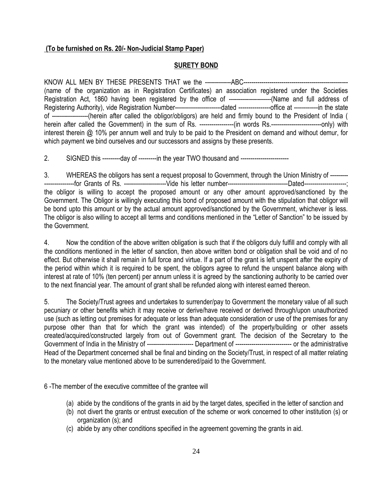### **(To be furnished on Rs. 20/- Non-Judicial Stamp Paper)**

### **SURETY BOND**

KNOW ALL MEN BY THESE PRESENTS THAT we the -------------ABC---------------------------------------------------- (name of the organization as in Registration Certificates) an association registered under the Societies Registration Act, 1860 having been registered by the office of ---------------------(Name and full address of Registering Authority), vide Registration Number---------------------------dated -----------------------office at -------------in the state of ------------------(herein after called the obligor/obligors) are held and firmly bound to the President of India ( herein after called the Government) in the sum of Rs. -----------------(in words Rs.-------------------------only) with interest therein @ 10% per annum well and truly to be paid to the President on demand and without demur, for which payment we bind ourselves and our successors and assigns by these presents.

2. SIGNED this ---------day of ---------in the year TWO thousand and ------------------------

3. WHEREAS the obligors has sent a request proposal to Government, through the Union Ministry of --------- ---------------for Grants of Rs. ---------------------Vide his letter number------------------------------Dated---------------------; the obligor is willing to accept the proposed amount or any other amount approved/sanctioned by the Government. The Obligor is willingly executing this bond of proposed amount with the stipulation that obligor will be bond upto this amount or by the actual amount approved/sanctioned by the Government, whichever is less. The obligor is also willing to accept all terms and conditions mentioned in the "Letter of Sanction" to be issued by the Government.

4. Now the condition of the above written obligation is such that if the obligors duly fulfill and comply with all the conditions mentioned in the letter of sanction, then above written bond or obligation shall be void and of no effect. But otherwise it shall remain in full force and virtue. If a part of the grant is left unspent after the expiry of the period within which it is required to be spent, the obligors agree to refund the unspent balance along with interest at rate of 10% (ten percent) per annum unless it is agreed by the sanctioning authority to be carried over to the next financial year. The amount of grant shall be refunded along with interest earned thereon.

5. The Society/Trust agrees and undertakes to surrender/pay to Government the monetary value of all such pecuniary or other benefits which it may receive or derive/have received or derived through/upon unauthorized use (such as letting out premises for adequate or less than adequate consideration or use of the premises for any purpose other than that for which the grant was intended) of the property/building or other assets created/acquired/constructed largely from out of Government grant. The decision of the Secretary to the Government of India in the Ministry of ----------------------- Department of ---------------------------- or the administrative Head of the Department concerned shall be final and binding on the Society/Trust, in respect of all matter relating to the monetary value mentioned above to be surrendered/paid to the Government.

6 -The member of the executive committee of the grantee will

- (a) abide by the conditions of the grants in aid by the target dates, specified in the letter of sanction and
- (b) not divert the grants or entrust execution of the scheme or work concerned to other institution (s) or organization (s); and
- (c) abide by any other conditions specified in the agreement governing the grants in aid.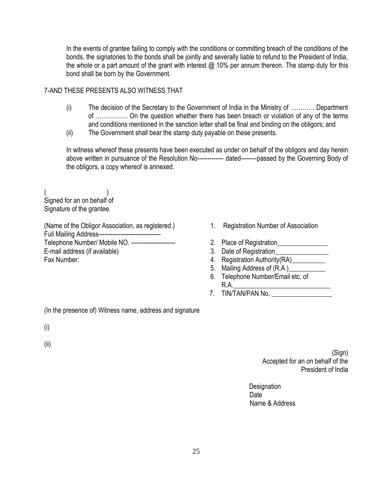In the events of grantee failing to comply with the conditions or committing breach of the conditions of the bonds, the signatories to the bonds shall be jointly and severally liable to refund to the President of India, the whole or a part amount of the grant with interest @ 10% per annum thereon. The stamp duty for this bond shall be born by the Government.

### 7-AND THESE PRESENTS ALSO WITNESS THAT

- (i) The decision of the Secretary to the Government of India in the Ministry of ………… Department of ……………. On the question whether there has been breach or violation of any of the terms and conditions mentioned in the sanction letter shall be final and binding on the obligors; and
- (ii) The Government shall bear the stamp duty payable on these presents.

In witness whereof these presents have been executed as under on behalf of the obligors and day herein above written in pursuance of the Resolution No------------- dated--------passed by the Governing Body of the obligors, a copy whereof is annexed.

 $($ Signed for an on behalf of Signature of the grantee.

(Name of the Obligor Association, as registered.) **Full Mailing Address------------------------------**Telephone Number/ Mobile NO. ---------------------- E-mail address (if available) Fax Number:

- 1. Registration Number of Association
	- 2. Place of Registration\_\_\_\_\_\_\_\_\_\_\_\_\_\_\_
	- 3. Date of Registration\_\_\_\_\_\_\_\_\_\_\_\_\_\_\_\_
	- 4. Registration Authority(RA)\_\_\_\_\_\_\_\_\_\_
	- 5. Mailing Address of (R.A.)
	- 6. Telephone Number/Email etc. of  $R.A.$
	- 7. TIN/TAN/PAN No.

(In the presence of) Witness name, address and signature

(i)

(ii)

(Sign) Accepted for an on behalf of the President of India

**Designation Date Date Date** Name & Address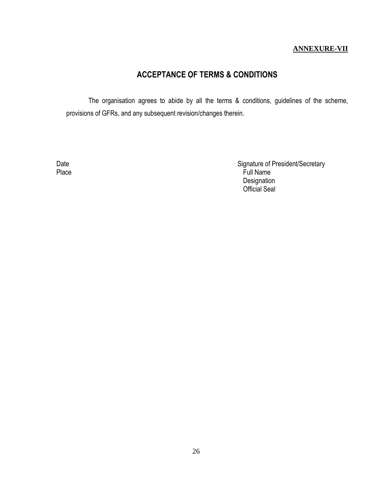### **ANNEXURE-VII**

## **ACCEPTANCE OF TERMS & CONDITIONS**

The organisation agrees to abide by all the terms & conditions, guidelines of the scheme, provisions of GFRs, and any subsequent revision/changes therein.

Date **Signature of President/Secretary** Place Full Name Designation Official Seal